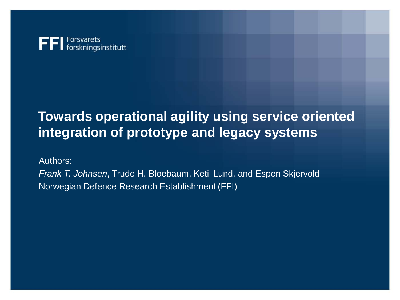

#### **Towards operational agility using service oriented integration of prototype and legacy systems**

Authors:

*Frank T. Johnsen*, Trude H. Bloebaum, Ketil Lund, and Espen Skjervold Norwegian Defence Research Establishment (FFI)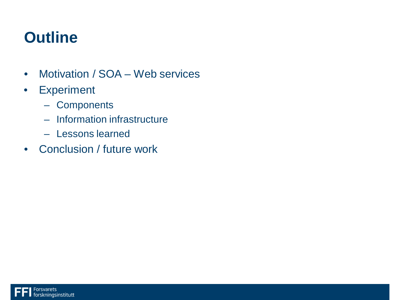### **Outline**

- Motivation / SOA Web services
- Experiment
	- Components
	- Information infrastructure
	- Lessons learned
- Conclusion / future work

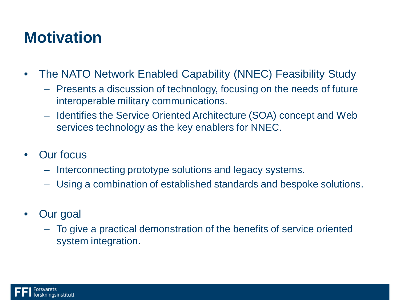#### **Motivation**

- The NATO Network Enabled Capability (NNEC) Feasibility Study
	- Presents a discussion of technology, focusing on the needs of future interoperable military communications.
	- Identifies the Service Oriented Architecture (SOA) concept and Web services technology as the key enablers for NNEC.
- Our focus
	- Interconnecting prototype solutions and legacy systems.
	- Using a combination of established standards and bespoke solutions.
- Our goal
	- To give a practical demonstration of the benefits of service oriented system integration.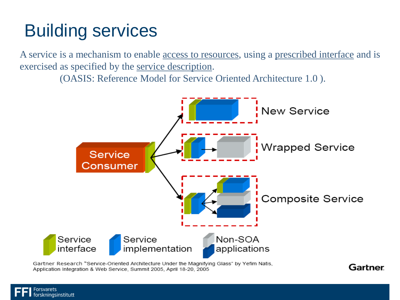# Building services

**kningsinstitutt** 

A service is a mechanism to enable access to resources, using a prescribed interface and is exercised as specified by the service description.

(OASIS: Reference Model for Service Oriented Architecture 1.0 ).



**Gartner** 

Gartner Research "Service-Oriented Architecture Under the Magnifying Glass" by Yefim Natis, Application Integration & Web Service, Summit 2005, April 18-20, 2005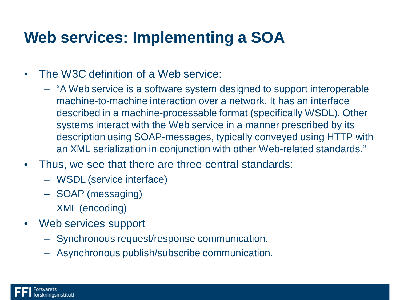#### **Web services: Implementing a SOA**

- The W3C definition of a Web service:
	- "A Web service is a software system designed to support interoperable machine-to-machine interaction over a network. It has an interface described in a machine-processable format (specifically WSDL). Other systems interact with the Web service in a manner prescribed by its description using SOAP-messages, typically conveyed using HTTP with an XML serialization in conjunction with other Web-related standards."
- Thus, we see that there are three central standards:
	- WSDL (service interface)
	- SOAP (messaging)
	- XML (encoding)
- Web services support
	- Synchronous request/response communication.
	- Asynchronous publish/subscribe communication.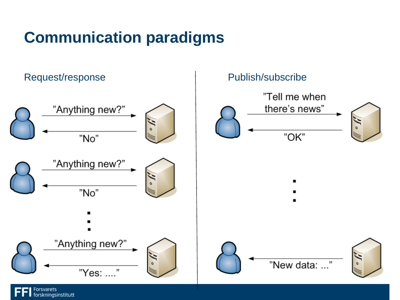## **Communication paradigms**

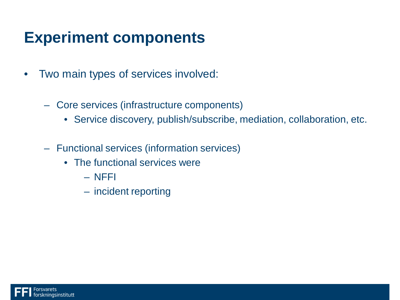#### **Experiment components**

- Two main types of services involved:
	- Core services (infrastructure components)
		- Service discovery, publish/subscribe, mediation, collaboration, etc.
	- Functional services (information services)
		- The functional services were
			- NFFI
			- incident reporting

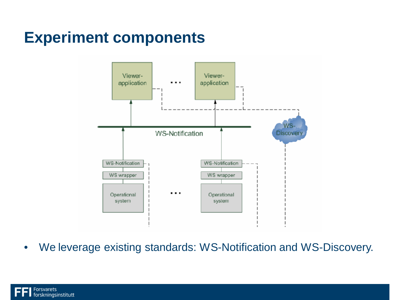#### **Experiment components**



• We leverage existing standards: WS-Notification and WS-Discovery.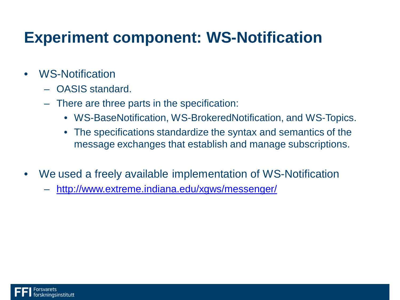### **Experiment component: WS-Notification**

- WS-Notification
	- OASIS standard.
	- There are three parts in the specification:
		- WS-BaseNotification, WS-BrokeredNotification, and WS-Topics.
		- The specifications standardize the syntax and semantics of the message exchanges that establish and manage subscriptions.
- We used a freely available implementation of WS-Notification
	- <http://www.extreme.indiana.edu/xgws/messenger/>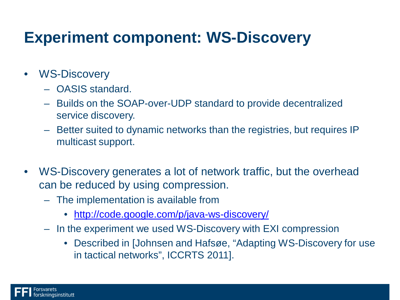### **Experiment component: WS-Discovery**

- WS-Discovery
	- OASIS standard.
	- Builds on the SOAP-over-UDP standard to provide decentralized service discovery.
	- Better suited to dynamic networks than the registries, but requires IP multicast support.
- WS-Discovery generates a lot of network traffic, but the overhead can be reduced by using compression.
	- The implementation is available from
		- <http://code.google.com/p/java-ws-discovery/>
	- In the experiment we used WS-Discovery with EXI compression
		- Described in [Johnsen and Hafsøe, "Adapting WS-Discovery for use in tactical networks", ICCRTS 2011].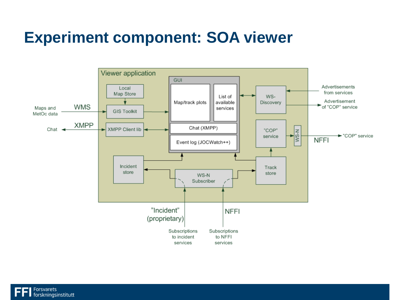#### **Experiment component: SOA viewer**



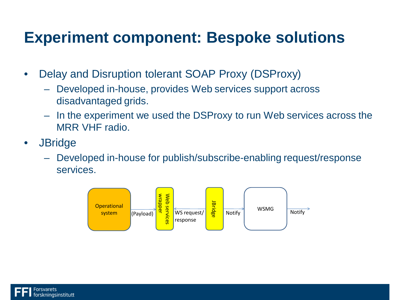#### **Experiment component: Bespoke solutions**

- Delay and Disruption tolerant SOAP Proxy (DSProxy)
	- Developed in-house, provides Web services support across disadvantaged grids.
	- In the experiment we used the DSProxy to run Web services across the MRR VHF radio.
- JBridge
	- Developed in-house for publish/subscribe-enabling request/response services.



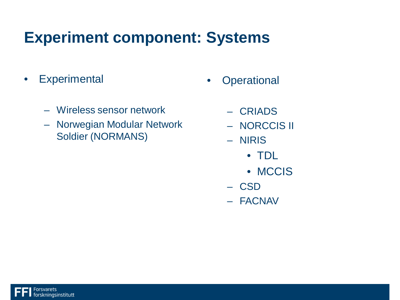#### **Experiment component: Systems**

- Experimental
	- Wireless sensor network
	- Norwegian Modular Network Soldier (NORMANS)
- **Operational** 
	- CRIADS
	- NORCCIS II
	- NIRIS
		- TDL
		- MCCIS
	- CSD
	- FACNAV

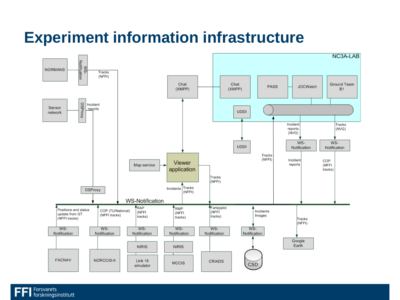#### **Experiment information infrastructure**

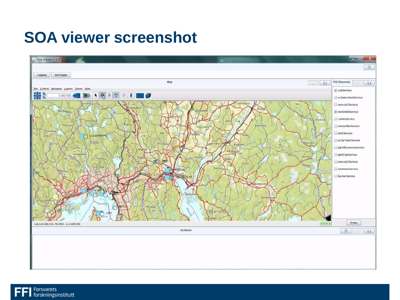#### **SOA viewer screenshot**



Forsvarets<br>forskningsinstitutt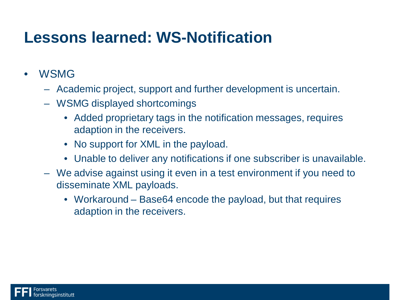#### **Lessons learned: WS-Notification**

- WSMG
	- Academic project, support and further development is uncertain.
	- WSMG displayed shortcomings
		- Added proprietary tags in the notification messages, requires adaption in the receivers.
		- No support for XML in the payload.
		- Unable to deliver any notifications if one subscriber is unavailable.
	- We advise against using it even in a test environment if you need to disseminate XML payloads.
		- Workaround Base64 encode the payload, but that requires adaption in the receivers.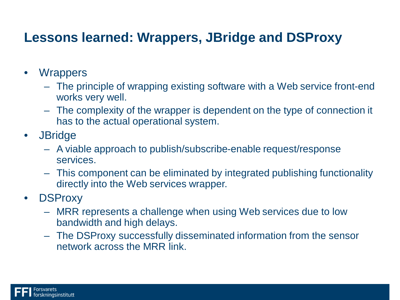#### **Lessons learned: Wrappers, JBridge and DSProxy**

- Wrappers
	- The principle of wrapping existing software with a Web service front-end works very well.
	- The complexity of the wrapper is dependent on the type of connection it has to the actual operational system.
- JBridge
	- A viable approach to publish/subscribe-enable request/response services.
	- This component can be eliminated by integrated publishing functionality directly into the Web services wrapper.
- DSProxy
	- MRR represents a challenge when using Web services due to low bandwidth and high delays.
	- The DSProxy successfully disseminated information from the sensor network across the MRR link.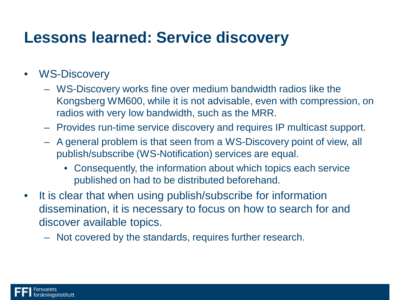#### **Lessons learned: Service discovery**

#### • WS-Discovery

- WS-Discovery works fine over medium bandwidth radios like the Kongsberg WM600, while it is not advisable, even with compression, on radios with very low bandwidth, such as the MRR.
- Provides run-time service discovery and requires IP multicast support.
- A general problem is that seen from a WS-Discovery point of view, all publish/subscribe (WS-Notification) services are equal.
	- Consequently, the information about which topics each service published on had to be distributed beforehand.
- It is clear that when using publish/subscribe for information dissemination, it is necessary to focus on how to search for and discover available topics.
	- Not covered by the standards, requires further research.

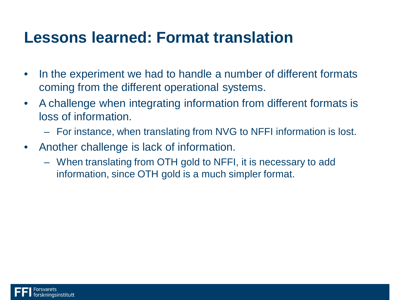#### **Lessons learned: Format translation**

- In the experiment we had to handle a number of different formats coming from the different operational systems.
- A challenge when integrating information from different formats is loss of information.
	- For instance, when translating from NVG to NFFI information is lost.
- Another challenge is lack of information.
	- When translating from OTH gold to NFFI, it is necessary to add information, since OTH gold is a much simpler format.